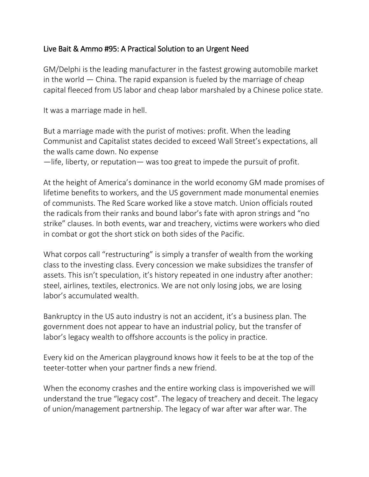## Live Bait & Ammo #95: A Practical Solution to an Urgent Need

GM/Delphi is the leading manufacturer in the fastest growing automobile market in the world — China. The rapid expansion is fueled by the marriage of cheap capital fleeced from US labor and cheap labor marshaled by a Chinese police state.

It was a marriage made in hell.

But a marriage made with the purist of motives: profit. When the leading Communist and Capitalist states decided to exceed Wall Street's expectations, all the walls came down. No expense —life, liberty, or reputation— was too great to impede the pursuit of profit.

At the height of America's dominance in the world economy GM made promises of lifetime benefits to workers, and the US government made monumental enemies of communists. The Red Scare worked like a stove match. Union officials routed the radicals from their ranks and bound labor's fate with apron strings and "no strike" clauses. In both events, war and treachery, victims were workers who died in combat or got the short stick on both sides of the Pacific.

What corpos call "restructuring" is simply a transfer of wealth from the working class to the investing class. Every concession we make subsidizes the transfer of assets. This isn't speculation, it's history repeated in one industry after another: steel, airlines, textiles, electronics. We are not only losing jobs, we are losing labor's accumulated wealth.

Bankruptcy in the US auto industry is not an accident, it's a business plan. The government does not appear to have an industrial policy, but the transfer of labor's legacy wealth to offshore accounts is the policy in practice.

Every kid on the American playground knows how it feels to be at the top of the teeter-totter when your partner finds a new friend.

When the economy crashes and the entire working class is impoverished we will understand the true "legacy cost". The legacy of treachery and deceit. The legacy of union/management partnership. The legacy of war after war after war. The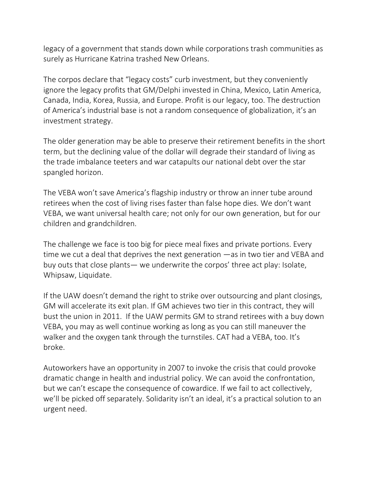legacy of a government that stands down while corporations trash communities as surely as Hurricane Katrina trashed New Orleans.

The corpos declare that "legacy costs" curb investment, but they conveniently ignore the legacy profits that GM/Delphi invested in China, Mexico, Latin America, Canada, India, Korea, Russia, and Europe. Profit is our legacy, too. The destruction of America's industrial base is not a random consequence of globalization, it's an investment strategy.

The older generation may be able to preserve their retirement benefits in the short term, but the declining value of the dollar will degrade their standard of living as the trade imbalance teeters and war catapults our national debt over the star spangled horizon.

The VEBA won't save America's flagship industry or throw an inner tube around retirees when the cost of living rises faster than false hope dies. We don't want VEBA, we want universal health care; not only for our own generation, but for our children and grandchildren.

The challenge we face is too big for piece meal fixes and private portions. Every time we cut a deal that deprives the next generation —as in two tier and VEBA and buy outs that close plants— we underwrite the corpos' three act play: Isolate, Whipsaw, Liquidate.

If the UAW doesn't demand the right to strike over outsourcing and plant closings, GM will accelerate its exit plan. If GM achieves two tier in this contract, they will bust the union in 2011. If the UAW permits GM to strand retirees with a buy down VEBA, you may as well continue working as long as you can still maneuver the walker and the oxygen tank through the turnstiles. CAT had a VEBA, too. It's broke.

Autoworkers have an opportunity in 2007 to invoke the crisis that could provoke dramatic change in health and industrial policy. We can avoid the confrontation, but we can't escape the consequence of cowardice. If we fail to act collectively, we'll be picked off separately. Solidarity isn't an ideal, it's a practical solution to an urgent need.